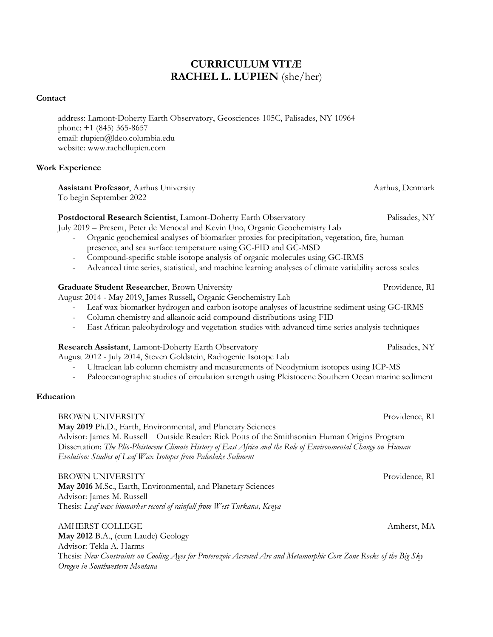# **CURRICULUM VITÆ RACHEL L. LUPIEN** (she/her)

## **Contact**

address: Lamont-Doherty Earth Observatory, Geosciences 105C, Palisades, NY 10964 phone: +1 (845) 365-8657 email: rlupien@ldeo.columbia.edu website: www.rachellupien.com

# **Work Experience**

**Assistant Professor**, Aarhus University Aarhus, Denmark Aarhus, Denmark To begin September 2022

# **Postdoctoral Research Scientist**, Lamont-Doherty Earth Observatory Palisades, NY

July 2019 – Present, Peter de Menocal and Kevin Uno, Organic Geochemistry Lab

- Organic geochemical analyses of biomarker proxies for precipitation, vegetation, fire, human presence, and sea surface temperature using GC-FID and GC-MSD
- Compound-specific stable isotope analysis of organic molecules using GC-IRMS
- Advanced time series, statistical, and machine learning analyses of climate variability across scales

# Graduate Student Researcher, Brown University Providence, RI

August 2014 - May 2019, James Russell**,** Organic Geochemistry Lab

- Leaf wax biomarker hydrogen and carbon isotope analyses of lacustrine sediment using GC-IRMS
- Column chemistry and alkanoic acid compound distributions using FID
- East African paleohydrology and vegetation studies with advanced time series analysis techniques

# **Research Assistant**, Lamont-Doherty Earth Observatory Palisades, NY

August 2012 - July 2014, Steven Goldstein, Radiogenic Isotope Lab

- Ultraclean lab column chemistry and measurements of Neodymium isotopes using ICP-MS
- Paleoceanographic studies of circulation strength using Pleistocene Southern Ocean marine sediment

# **Education**

BROWN UNIVERSITY Providence, RI

**May 2019** Ph.D., Earth, Environmental, and Planetary Sciences Advisor: James M. Russell | Outside Reader: Rick Potts of the Smithsonian Human Origins Program Dissertation: *The Plio-Pleistocene Climate History of East Africa and the Role of Environmental Change on Human Evolution: Studies of Leaf Wax Isotopes from Paleolake Sediment*

BROWN UNIVERSITY Providence, RI

**May 2016** M.Sc., Earth, Environmental, and Planetary Sciences Advisor: James M. Russell Thesis: *Leaf wax biomarker record of rainfall from West Turkana, Kenya*

AMHERST COLLEGE Amherst, MA **May 2012** B.A., (cum Laude) Geology Advisor: Tekla A. Harms Thesis: *New Constraints on Cooling Ages for Proterozoic Accreted Arc and Metamorphic Core Zone Rocks of the Big Sky Orogen in Southwestern Montana*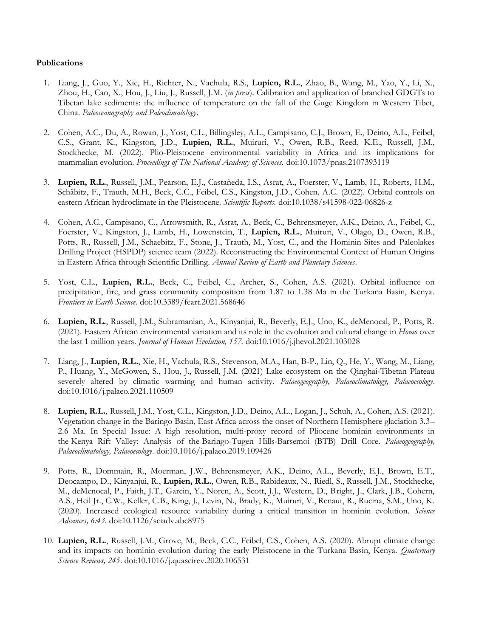## **Publications**

- 1. Liang, J., Guo, Y., Xie, H., Richter, N., Vachula, R.S., **Lupien, R.L.**, Zhao, B., Wang, M., Yao, Y., Li, X., Zhou, H., Cao, X., Hou, J., Liu, J., Russell, J.M. (*in press*). Calibration and application of branched GDGTs to Tibetan lake sediments: the influence of temperature on the fall of the Guge Kingdom in Western Tibet, China. *Paleoceanography and Paleoclimatology*.
- 2. Cohen, A.C., Du, A., Rowan, J., Yost, C.L., Billingsley, A.L., Campisano, C.J., Brown, E., Deino, A.L., Feibel, C.S., Grant, K., Kingston, J.D., **Lupien, R.L.**, Muiruri, V., Owen, R.B., Reed, K.E., Russell, J.M., Stockhecke, M. (2022). Plio-Pleistocene environmental variability in Africa and its implications for mammalian evolution. *Proceedings of The National Academy of Sciences.* doi:10.1073/pnas.2107393119
- 3. **Lupien, R.L.**, Russell, J.M., Pearson, E.J., Castañeda, I.S., Asrat, A., Foerster, V., Lamb, H., Roberts, H.M., Schäbitz, F., Trauth, M.H., Beck, C.C., Feibel, C.S., Kingston, J.D., Cohen. A.C. (2022). Orbital controls on eastern African hydroclimate in the Pleistocene. *Scientific Reports.* doi:10.1038/s41598-022-06826-z
- 4. Cohen, A.C., Campisano, C., Arrowsmith, R., Asrat, A., Beck, C., Behrensmeyer, A.K., Deino, A., Feibel, C., Foerster, V., Kingston, J., Lamb, H., Lowenstein, T., **Lupien, R.L.**, Muiruri, V., Olago, D., Owen, R.B., Potts, R., Russell, J.M., Schaebitz, F., Stone, J., Trauth, M., Yost, C., and the Hominin Sites and Paleolakes Drilling Project (HSPDP) science team (2022). Reconstructing the Environmental Context of Human Origins in Eastern Africa through Scientific Drilling. *Annual Review of Earth and Planetary Sciences*.
- 5. Yost, C.L., **Lupien, R.L.**, Beck, C., Feibel, C., Archer, S., Cohen, A.S. (2021). Orbital influence on precipitation, fire, and grass community composition from 1.87 to 1.38 Ma in the Turkana Basin, Kenya. *Frontiers in Earth Science*. doi:10.3389/feart.2021.568646
- 6. **Lupien, R.L.**, Russell, J.M., Subramanian, A., Kinyanjui, R., Beverly, E.J., Uno, K., deMenocal, P., Potts, R. (2021). Eastern African environmental variation and its role in the evolution and cultural change in *Homo* over the last 1 million years. *Journal of Human Evolution, 157.* doi:10.1016/j.jhevol.2021.103028
- 7. Liang, J., **Lupien, R.L.**, Xie, H., Vachula, R.S., Stevenson, M.A., Han, B-P., Lin, Q., He, Y., Wang, M., Liang, P., Huang, Y., McGowen, S., Hou, J., Russell, J.M. (2021) Lake ecosystem on the Qinghai-Tibetan Plateau severely altered by climatic warming and human activity. *Palaeogeography, Palaeoclimatology, Palaeoecology*. doi:10.1016/j.palaeo.2021.110509
- 8. **Lupien, R.L.**, Russell, J.M., Yost, C.L., Kingston, J.D., Deino, A.L., Logan, J., Schuh, A., Cohen, A.S. (2021). Vegetation change in the Baringo Basin, East Africa across the onset of Northern Hemisphere glaciation 3.3– 2.6 Ma. In Special Issue: A high resolution, multi-proxy record of Pliocene hominin environments in the Kenya Rift Valley: Analysis of the Baringo-Tugen Hills-Barsemoi (BTB) Drill Core. *Palaeogeography, Palaeoclimatology, Palaeoecology*. doi:10.1016/j.palaeo.2019.109426
- 9. Potts, R., Dommain, R., Moerman, J.W., Behrensmeyer, A.K., Deino, A.L., Beverly, E.J., Brown, E.T., Deocampo, D., Kinyanjui, R., **Lupien, R.L.**, Owen, R.B., Rabideaux, N., Riedl, S., Russell, J.M., Stockhecke, M., deMenocal, P., Faith, J.T., Garcin, Y., Noren, A., Scott, J.J., Western, D., Bright, J., Clark, J.B., Cohern, A.S., Heil Jr., C.W., Keller, C.B., King, J., Levin, N., Brady, K., Muiruri, V., Renaut, R., Rucina, S.M., Uno, K. (2020). Increased ecological resource variability during a critical transition in hominin evolution. *Science Advances, 6:43*. doi:10.1126/sciadv.abc8975
- 10. **Lupien, R.L.**, Russell, J.M., Grove, M., Beck, C.C., Feibel, C.S., Cohen, A.S. (2020). Abrupt climate change and its impacts on hominin evolution during the early Pleistocene in the Turkana Basin, Kenya. *Quaternary Science Reviews, 245*. doi:10.1016/j.quascirev.2020.106531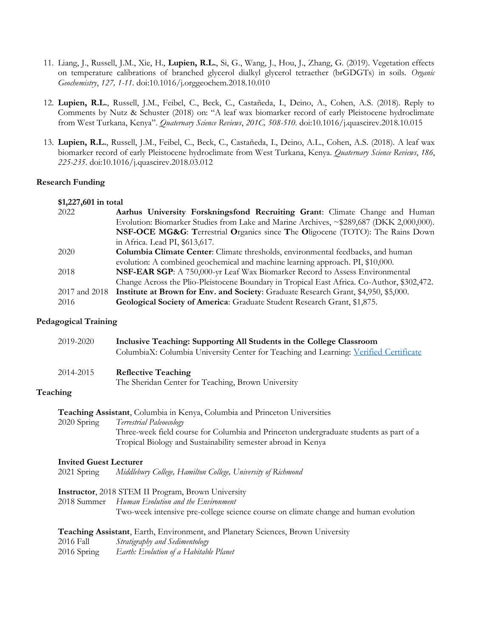- 11. Liang, J., Russell, J.M., Xie, H., **Lupien, R.L.**, Si, G., Wang, J., Hou, J., Zhang, G. (2019). Vegetation effects on temperature calibrations of branched glycerol dialkyl glycerol tetraether (brGDGTs) in soils. *Organic Geochemistry*, *127, 1-11*. doi:10.1016/j.orggeochem.2018.10.010
- 12. **Lupien, R.L.**, Russell, J.M., Feibel, C., Beck, C., Castañeda, I., Deino, A., Cohen, A.S. (2018). Reply to Comments by Nutz & Schuster (2018) on: "A leaf wax biomarker record of early Pleistocene hydroclimate from West Turkana, Kenya". *Quaternary Science Reviews*, *201C, 508-510*. doi:10.1016/j.quascirev.2018.10.015
- 13. **Lupien, R.L.**, Russell, J.M., Feibel, C., Beck, C., Castañeda, I., Deino, A.L., Cohen, A.S. (2018). A leaf wax biomarker record of early Pleistocene hydroclimate from West Turkana, Kenya. *Quaternary Science Reviews*, *186*, *225-235*. doi:10.1016/j.quascirev.2018.03.012

#### **Research Funding**

#### **\$1,227,601 in total**

| 2022          | Aarhus University Forskningsfond Recruiting Grant: Climate Change and Human                |
|---------------|--------------------------------------------------------------------------------------------|
|               | Evolution: Biomarker Studies from Lake and Marine Archives, ~\$289,687 (DKK 2,000,000).    |
|               | NSF-OCE MG&G: Terrestrial Organics since The Oligocene (TOTO): The Rains Down              |
|               | in Africa. Lead PI, \$613,617.                                                             |
| 2020          | <b>Columbia Climate Center:</b> Climate thresholds, environmental feedbacks, and human     |
|               | evolution: A combined geochemical and machine learning approach. PI, \$10,000.             |
| 2018          | NSF-EAR SGP: A 750,000-yr Leaf Wax Biomarker Record to Assess Environmental                |
|               | Change Across the Plio-Pleistocene Boundary in Tropical East Africa. Co-Author, \$302,472. |
| 2017 and 2018 | Institute at Brown for Env. and Society: Graduate Research Grant, \$4,950, \$5,000.        |
| 2016          | Geological Society of America: Graduate Student Research Grant, \$1,875.                   |

#### **Pedagogical Training**

| 2019-2020 | Inclusive Teaching: Supporting All Students in the College Classroom<br>ColumbiaX: Columbia University Center for Teaching and Learning: Verified Certificate |
|-----------|---------------------------------------------------------------------------------------------------------------------------------------------------------------|
| 2014-2015 | <b>Reflective Teaching</b><br>The Sheridan Center for Teaching, Brown University                                                                              |
| Teaching  |                                                                                                                                                               |
|           | <b>Teaching Assistant</b> Columbia in Kenya, Columbia and Princeton Universities                                                                              |

**Teaching Assistant**, Columbia in Kenya, Columbia and Princeton Universities 2020 Spring *Terrestrial Paleoecology* Three-week field course for Columbia and Princeton undergraduate students as part of a Tropical Biology and Sustainability semester abroad in Kenya

#### **Invited Guest Lecturer**

2021 Spring *Middlebury College, Hamilton College, University of Richmond*

**Instructor**, 2018 STEM II Program, Brown University

2018 Summer *Human Evolution and the Environment*

Two-week intensive pre-college science course on climate change and human evolution

**Teaching Assistant**, Earth, Environment, and Planetary Sciences, Brown University 2016 Fall *Stratigraphy and Sedimentology*

2016 Spring *Earth: Evolution of a Habitable Planet*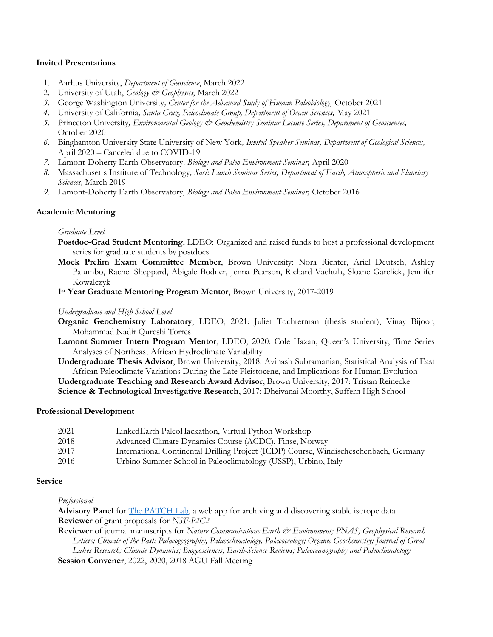## **Invited Presentations**

- 1. Aarhus University, *Department of Geoscience*, March 2022
- 2. University of Utah, *Geology & Geophysics*, March 2022
- *3.* George Washington University*, Center for the Advanced Study of Human Paleobiology,* October 2021
- *4.* University of California*, Santa Cruz, Paleoclimate Group, Department of Ocean Sciences,* May 2021
- *5.* Princeton University*, Environmental Geology & Geochemistry Seminar Lecture Series, Department of Geosciences,*  October 2020
- *6.* Binghamton University State University of New York*, Invited Speaker Seminar, Department of Geological Sciences,*  April 2020 – Canceled due to COVID-19
- *7.* Lamont-Doherty Earth Observatory*, Biology and Paleo Environment Seminar,* April 2020
- *8.* Massachusetts Institute of Technology*, Sack Lunch Seminar Series, Department of Earth, Atmospheric and Planetary Sciences,* March 2019
- *9.* Lamont-Doherty Earth Observatory*, Biology and Paleo Environment Seminar,* October 2016

## **Academic Mentoring**

## *Graduate Level*

- **Postdoc-Grad Student Mentoring**, LDEO: Organized and raised funds to host a professional development series for graduate students by postdocs
- **Mock Prelim Exam Committee Member**, Brown University: Nora Richter, Ariel Deutsch, Ashley Palumbo, Rachel Sheppard, Abigale Bodner, Jenna Pearson, Richard Vachula, Sloane Garelick, Jennifer Kowalczyk
- **1 st Year Graduate Mentoring Program Mentor**, Brown University, 2017-2019

#### *Undergraduate and High School Level*

- **Organic Geochemistry Laboratory**, LDEO, 2021: Juliet Tochterman (thesis student), Vinay Bijoor, Mohammad Nadir Qureshi Torres
- **Lamont Summer Intern Program Mentor**, LDEO, 2020: Cole Hazan, Queen's University, Time Series Analyses of Northeast African Hydroclimate Variability
- **Undergraduate Thesis Advisor**, Brown University, 2018: Avinash Subramanian, Statistical Analysis of East African Paleoclimate Variations During the Late Pleistocene, and Implications for Human Evolution **Undergraduate Teaching and Research Award Advisor**, Brown University, 2017: Tristan Reinecke **Science & Technological Investigative Research**, 2017: Dheivanai Moorthy, Suffern High School

## **Professional Development**

| 2021 | LinkedEarth PaleoHackathon, Virtual Python Workshop                                   |
|------|---------------------------------------------------------------------------------------|
| 2018 | Advanced Climate Dynamics Course (ACDC), Finse, Norway                                |
| 2017 | International Continental Drilling Project (ICDP) Course, Windischeschenbach, Germany |
| 2016 | Urbino Summer School in Paleoclimatology (USSP), Urbino, Italy                        |

## **Service**

*Professional*

**Advisory Panel** for [The PATCH Lab,](https://geocentroid.shinyapps.io/PATCH-Lab/) a web app for archiving and discovering stable isotope data **Reviewer** of grant proposals for *NSF-P2C2*

**Reviewer** of journal manuscripts for *Nature Communications Earth & Environment; PNAS; Geophysical Research Letters; Climate of the Past; Palaeogeography, Palaeoclimatology, Palaeoecology; Organic Geochemistry; Journal of Great Lakes Research; Climate Dynamics; Biogeosciences; Earth-Science Reviews; Paleoceanography and Paleoclimatology*

**Session Convener**, 2022, 2020, 2018 AGU Fall Meeting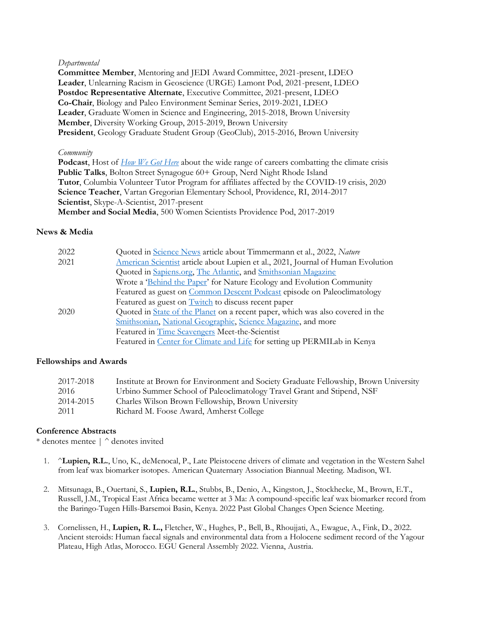#### *Departmental*

**Committee Member**, Mentoring and JEDI Award Committee, 2021-present, LDEO **Leader**, Unlearning Racism in Geoscience (URGE) Lamont Pod, 2021-present, LDEO **Postdoc Representative Alternate**, Executive Committee, 2021-present, LDEO **Co-Chair**, Biology and Paleo Environment Seminar Series, 2019-2021, LDEO **Leader**, Graduate Women in Science and Engineering, 2015-2018, Brown University **Member**, Diversity Working Group, 2015-2019, Brown University **President**, Geology Graduate Student Group (GeoClub), 2015-2016, Brown University

#### *Community*

**Podcast**, Host of *[How We Got Here](https://www.hwghpod.com/)* about the wide range of careers combatting the climate crisis **Public Talks**, Bolton Street Synagogue 60+ Group, Nerd Night Rhode Island **Tutor**, Columbia Volunteer Tutor Program for affiliates affected by the COVID-19 crisis, 2020 **Science Teacher**, Vartan Gregorian Elementary School, Providence, RI, 2014-2017 **Scientist**, Skype-A-Scientist, 2017-present **Member and Social Media**, 500 Women Scientists Providence Pod, 2017-2019

## **News & Media**

| 2022 | Quoted in Science News article about Timmermann et al., 2022, Nature             |
|------|----------------------------------------------------------------------------------|
| 2021 | American Scientist article about Lupien et al., 2021, Journal of Human Evolution |
|      | Quoted in Sapiens.org, The Atlantic, and Smithsonian Magazine                    |
|      | Wrote a 'Behind the Paper' for Nature Ecology and Evolution Community            |
|      | Featured as guest on Common Descent Podcast episode on Paleoclimatology          |
|      | Featured as guest on <b>Twitch</b> to discuss recent paper                       |
| 2020 | Quoted in State of the Planet on a recent paper, which was also covered in the   |
|      | Smithsonian, National Geographic, Science Magazine, and more                     |
|      | Featured in Time Scavengers Meet-the-Scientist                                   |
|      | Featured in Center for Climate and Life for setting up PERMILab in Kenya         |

## **Fellowships and Awards**

| 2017-2018 | Institute at Brown for Environment and Society Graduate Fellowship, Brown University |
|-----------|--------------------------------------------------------------------------------------|
| 2016      | Urbino Summer School of Paleoclimatology Travel Grant and Stipend, NSF               |
| 2014-2015 | Charles Wilson Brown Fellowship, Brown University                                    |
| 2011      | Richard M. Foose Award, Amherst College                                              |

## **Conference Abstracts**

\* denotes mentee | ^ denotes invited

- 1. ^**Lupien, R.L.**, Uno, K., deMenocal, P., Late Pleistocene drivers of climate and vegetation in the Western Sahel from leaf wax biomarker isotopes. American Quaternary Association Biannual Meeting. Madison, WI.
- 2. Mitsunaga, B., Ouertani, S., **Lupien, R.L.**, Stubbs, B., Denio, A., Kingston, J., Stockhecke, M., Brown, E.T., Russell, J.M., Tropical East Africa became wetter at 3 Ma: A compound-specific leaf wax biomarker record from the Baringo-Tugen Hills-Barsemoi Basin, Kenya. 2022 Past Global Changes Open Science Meeting.
- 3. Cornelissen, H., **Lupien, R. L.,** Fletcher, W., Hughes, P., Bell, B., Rhoujjati, A., Ewague, A., Fink, D., 2022. Ancient steroids: Human faecal signals and environmental data from a Holocene sediment record of the Yagour Plateau, High Atlas, Morocco. EGU General Assembly 2022. Vienna, Austria.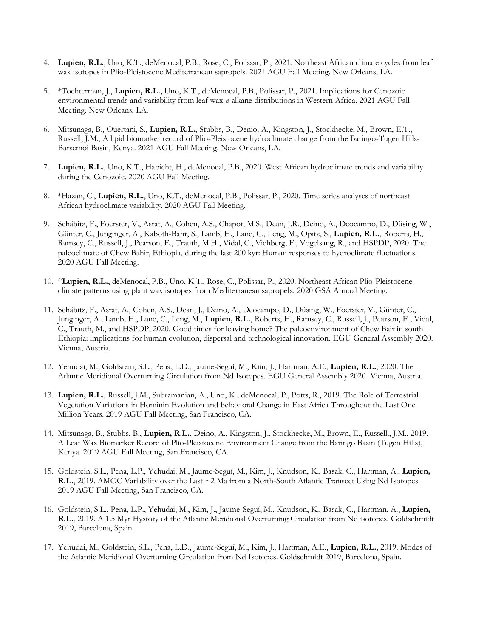- 4. **Lupien, R.L.**, Uno, K.T., deMenocal, P.B., Rose, C., Polissar, P., 2021. Northeast African climate cycles from leaf wax isotopes in Plio-Pleistocene Mediterranean sapropels. 2021 AGU Fall Meeting. New Orleans, LA.
- 5. \*Tochterman, J., **Lupien, R.L.**, Uno, K.T., deMenocal, P.B., Polissar, P., 2021. Implications for Cenozoic environmental trends and variability from leaf wax *n*-alkane distributions in Western Africa. 2021 AGU Fall Meeting. New Orleans, LA.
- 6. Mitsunaga, B., Ouertani, S., **Lupien, R.L.**, Stubbs, B., Denio, A., Kingston, J., Stockhecke, M., Brown, E.T., Russell, J.M., A lipid biomarker record of Plio-Pleistocene hydroclimate change from the Baringo-Tugen Hills-Barsemoi Basin, Kenya. 2021 AGU Fall Meeting. New Orleans, LA.
- 7. **Lupien, R.L.**, Uno, K.T., Habicht, H., deMenocal, P.B., 2020. West African hydroclimate trends and variability during the Cenozoic. 2020 AGU Fall Meeting.
- 8. \*Hazan, C., **Lupien, R.L.**, Uno, K.T., deMenocal, P.B., Polissar, P., 2020. Time series analyses of northeast African hydroclimate variability. 2020 AGU Fall Meeting.
- 9. Schäbitz, F., Foerster, V., Asrat, A., Cohen, A.S., Chapot, M.S., Dean, J.R., Deino, A., Deocampo, D., Düsing, W., Günter, C., Junginger, A., Kaboth-Bahr, S., Lamb, H., Lane, C., Leng, M., Opitz, S., **Lupien, R.L.**, Roberts, H., Ramsey, C., Russell, J., Pearson, E., Trauth, M.H., Vidal, C., Viehberg, F., Vogelsang, R., and HSPDP, 2020. The paleoclimate of Chew Bahir, Ethiopia, during the last 200 kyr: Human responses to hydroclimate fluctuations. 2020 AGU Fall Meeting.
- 10. ^**Lupien, R.L.**, deMenocal, P.B., Uno, K.T., Rose, C., Polissar, P., 2020. Northeast African Plio-Pleistocene climate patterns using plant wax isotopes from Mediterranean sapropels. 2020 GSA Annual Meeting.
- 11. Schäbitz, F., Asrat, A., Cohen, A.S., Dean, J., Deino, A., Deocampo, D., Düsing, W., Foerster, V., Günter, C., Junginger, A., Lamb, H., Lane, C., Leng, M., **Lupien, R.L.**, Roberts, H., Ramsey, C., Russell, J., Pearson, E., Vidal, C., Trauth, M., and HSPDP, 2020. Good times for leaving home? The paleoenvironment of Chew Bair in south Ethiopia: implications for human evolution, dispersal and technological innovation. EGU General Assembly 2020. Vienna, Austria.
- 12. Yehudai, M., Goldstein, S.L., Pena, L.D., Jaume-Seguí, M., Kim, J., Hartman, A.E., **Lupien, R.L.**, 2020. The Atlantic Meridional Overturning Circulation from Nd Isotopes. EGU General Assembly 2020. Vienna, Austria.
- 13. **Lupien, R.L.**, Russell, J.M., Subramanian, A., Uno, K., deMenocal, P., Potts, R., 2019. The Role of Terrestrial Vegetation Variations in Hominin Evolution and behavioral Change in East Africa Throughout the Last One Million Years. 2019 AGU Fall Meeting, San Francisco, CA.
- 14. Mitsunaga, B., Stubbs, B., **Lupien, R.L.**, Deino, A., Kingston, J., Stockhecke, M., Brown, E., Russell., J.M., 2019. A Leaf Wax Biomarker Record of Plio-Pleistocene Environment Change from the Baringo Basin (Tugen Hills), Kenya. 2019 AGU Fall Meeting, San Francisco, CA.
- 15. Goldstein, S.L., Pena, L.P., Yehudai, M., Jaume-Seguí, M., Kim, J., Knudson, K., Basak, C., Hartman, A., **Lupien, R.L.**, 2019. AMOC Variability over the Last ~2 Ma from a North-South Atlantic Transect Using Nd Isotopes. 2019 AGU Fall Meeting, San Francisco, CA.
- 16. Goldstein, S.L., Pena, L.P., Yehudai, M., Kim, J., Jaume-Seguí, M., Knudson, K., Basak, C., Hartman, A., **Lupien, R.L.**, 2019. A 1.5 Myr Hystory of the Atlantic Meridional Overturning Circulation from Nd isotopes. Goldschmidt 2019, Barcelona, Spain.
- 17. Yehudai, M., Goldstein, S.L., Pena, L.D., Jaume-Seguí, M., Kim, J., Hartman, A.E., **Lupien, R.L.**, 2019. Modes of the Atlantic Meridional Overturning Circulation from Nd Isotopes. Goldschmidt 2019, Barcelona, Spain.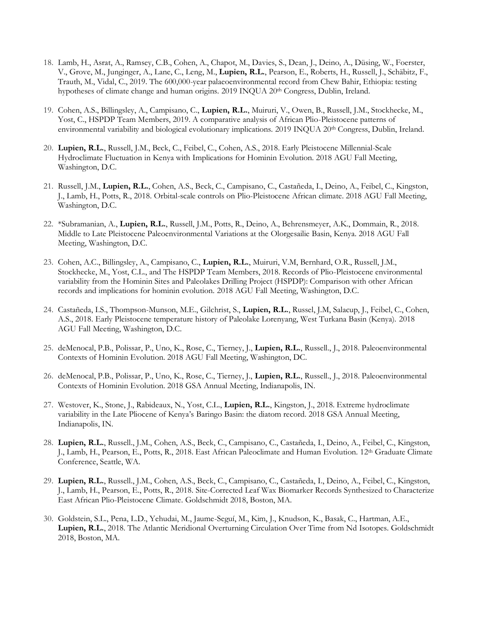- 18. Lamb, H., Asrat, A., Ramsey, C.B., Cohen, A., Chapot, M., Davies, S., Dean, J., Deino, A., Düsing, W., Foerster, V., Grove, M., Junginger, A., Lane, C., Leng, M., **Lupien, R.L.**, Pearson, E., Roberts, H., Russell, J., Schäbitz, F., Trauth, M., Vidal, C., 2019. The 600,000-year palaeoenvironmental record from Chew Bahir, Ethiopia: testing hypotheses of climate change and human origins. 2019 INQUA 20<sup>th</sup> Congress, Dublin, Ireland.
- 19. Cohen, A.S., Billingsley, A., Campisano, C., **Lupien, R.L.**, Muiruri, V., Owen, B., Russell, J.M., Stockhecke, M., Yost, C., HSPDP Team Members, 2019. A comparative analysis of African Plio-Pleistocene patterns of environmental variability and biological evolutionary implications. 2019 INQUA 20<sup>th</sup> Congress, Dublin, Ireland.
- 20. **Lupien, R.L.**, Russell, J.M., Beck, C., Feibel, C., Cohen, A.S., 2018. Early Pleistocene Millennial-Scale Hydroclimate Fluctuation in Kenya with Implications for Hominin Evolution. 2018 AGU Fall Meeting, Washington, D.C.
- 21. Russell, J.M., **Lupien, R.L.**, Cohen, A.S., Beck, C., Campisano, C., Castañeda, I., Deino, A., Feibel, C., Kingston, J., Lamb, H., Potts, R., 2018. Orbital-scale controls on Plio-Pleistocene African climate. 2018 AGU Fall Meeting, Washington, D.C.
- 22. \*Subramanian, A., **Lupien, R.L.**, Russell, J.M., Potts, R., Deino, A., Behrensmeyer, A.K., Dommain, R., 2018. Middle to Late Pleistocene Paleoenvironmental Variations at the Olorgesailie Basin, Kenya. 2018 AGU Fall Meeting, Washington, D.C.
- 23. Cohen, A.C., Billingsley, A., Campisano, C., **Lupien, R.L.**, Muiruri, V.M, Bernhard, O.R., Russell, J.M., Stockhecke, M., Yost, C.L., and The HSPDP Team Members, 2018. Records of Plio-Pleistocene environmental variability from the Hominin Sites and Paleolakes Drilling Project (HSPDP): Comparison with other African records and implications for hominin evolution. 2018 AGU Fall Meeting, Washington, D.C.
- 24. Castañeda, I.S., Thompson-Munson, M.E., Gilchrist, S., **Lupien, R.L.**, Russel, J.M, Salacup, J., Feibel, C., Cohen, A.S., 2018. Early Pleistocene temperature history of Paleolake Lorenyang, West Turkana Basin (Kenya). 2018 AGU Fall Meeting, Washington, D.C.
- 25. deMenocal, P.B., Polissar, P., Uno, K., Rose, C., Tierney, J., **Lupien, R.L.**, Russell., J., 2018. Paleoenvironmental Contexts of Hominin Evolution. 2018 AGU Fall Meeting, Washington, DC.
- 26. deMenocal, P.B., Polissar, P., Uno, K., Rose, C., Tierney, J., **Lupien, R.L.**, Russell., J., 2018. Paleoenvironmental Contexts of Hominin Evolution. 2018 GSA Annual Meeting, Indianapolis, IN.
- 27. Westover, K., Stone, J., Rabideaux, N., Yost, C.L., **Lupien, R.L.**, Kingston, J., 2018. Extreme hydroclimate variability in the Late Pliocene of Kenya's Baringo Basin: the diatom record. 2018 GSA Annual Meeting, Indianapolis, IN.
- 28. **Lupien, R.L.**, Russell., J.M., Cohen, A.S., Beck, C., Campisano, C., Castañeda, I., Deino, A., Feibel, C., Kingston, J., Lamb, H., Pearson, E., Potts, R., 2018. East African Paleoclimate and Human Evolution. 12th Graduate Climate Conference, Seattle, WA.
- 29. **Lupien, R.L.**, Russell., J.M., Cohen, A.S., Beck, C., Campisano, C., Castañeda, I., Deino, A., Feibel, C., Kingston, J., Lamb, H., Pearson, E., Potts, R., 2018. Site-Corrected Leaf Wax Biomarker Records Synthesized to Characterize East African Plio-Pleistocene Climate. Goldschmidt 2018, Boston, MA.
- 30. Goldstein, S.L., Pena, L.D., Yehudai, M., Jaume-Seguí, M., Kim, J., Knudson, K., Basak, C., Hartman, A.E., **Lupien, R.L.**, 2018. The Atlantic Meridional Overturning Circulation Over Time from Nd Isotopes. Goldschmidt 2018, Boston, MA.